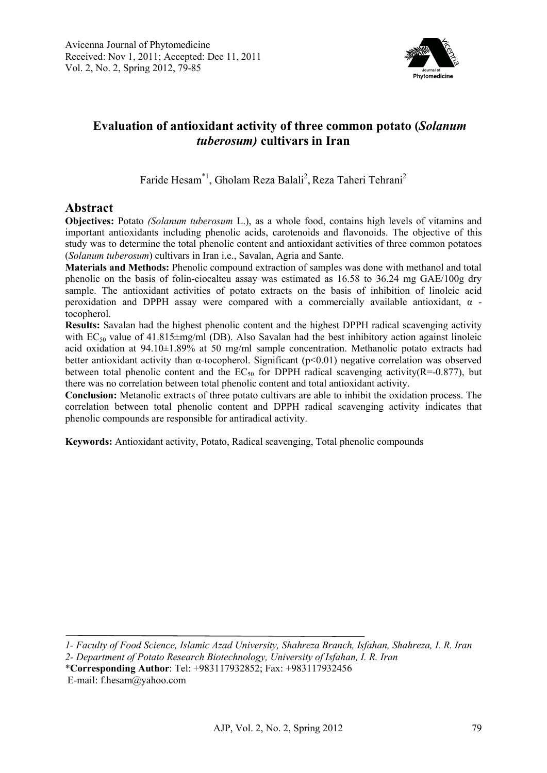

# **Evaluation of antioxidant activity of three common potato (***Solanum tuberosum)* **cultivars in Iran**

Faride Hesam<sup>\*1</sup>, Gholam Reza Balali<sup>2</sup>, Reza Taheri Tehrani<sup>2</sup>

# **Abstract**

**Objectives:** Potato *(Solanum tuberosum* L.), as a whole food, contains high levels of vitamins and important antioxidants including phenolic acids, carotenoids and flavonoids. The objective of this study was to determine the total phenolic content and antioxidant activities of three common potatoes (*Solanum tuberosum*) cultivars in Iran i.e., Savalan, Agria and Sante.

**Materials and Methods:** Phenolic compound extraction of samples was done with methanol and total phenolic on the basis of folin-ciocalteu assay was estimated as 16.58 to 36.24 mg GAE/100g dry sample. The antioxidant activities of potato extracts on the basis of inhibition of linoleic acid peroxidation and DPPH assay were compared with a commercially available antioxidant,  $\alpha$  tocopherol.

**Results:** Savalan had the highest phenolic content and the highest DPPH radical scavenging activity with  $EC_{50}$  value of 41.815 $\pm$ mg/ml (DB). Also Savalan had the best inhibitory action against linoleic acid oxidation at 94.10±1.89% at 50 mg/ml sample concentration. Methanolic potato extracts had better antioxidant activity than α-tocopherol. Significant (p<0.01) negative correlation was observed between total phenolic content and the  $EC_{50}$  for DPPH radical scavenging activity(R=-0.877), but there was no correlation between total phenolic content and total antioxidant activity.

**Conclusion:** Metanolic extracts of three potato cultivars are able to inhibit the oxidation process. The correlation between total phenolic content and DPPH radical scavenging activity indicates that phenolic compounds are responsible for antiradical activity.

**Keywords:** Antioxidant activity, Potato, Radical scavenging, Total phenolic compounds

*1- Faculty of Food Science, Islamic Azad University, Shahreza Branch, Isfahan, Shahreza, I. R. Iran* 

*2- Department of Potato Research Biotechnology, University of Isfahan, I. R. Iran*

\***Corresponding Author**: Tel: +983117932852; Fax: +983117932456

E-mail: f.hesam@yahoo.com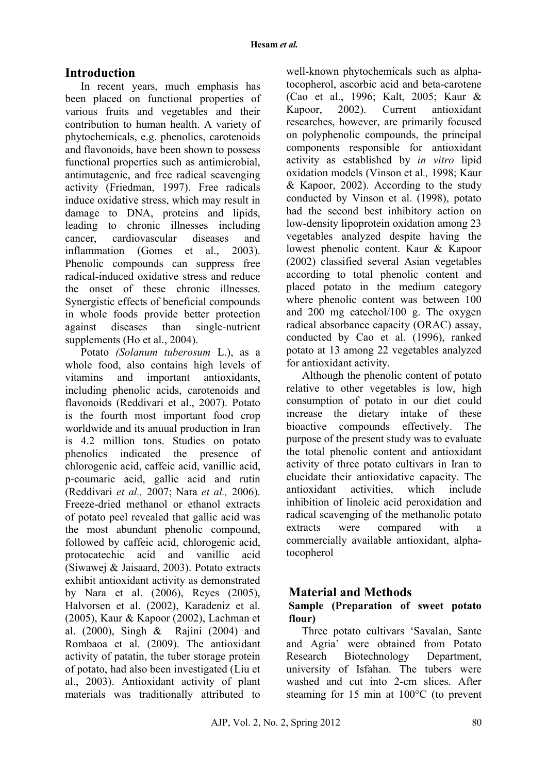# **Introduction**

In recent years, much emphasis has been placed on functional properties of various fruits and vegetables and their contribution to human health. A variety of phytochemicals, e.g. phenolics, carotenoids and flavonoids, have been shown to possess functional properties such as antimicrobial, antimutagenic, and free radical scavenging activity (Friedman, 1997). Free radicals induce oxidative stress, which may result in damage to DNA, proteins and lipids, leading to chronic illnesses including cancer, cardiovascular diseases and inflammation (Gomes et al., 2003). Phenolic compounds can suppress free radical-induced oxidative stress and reduce the onset of these chronic illnesses. Synergistic effects of beneficial compounds in whole foods provide better protection against diseases than single-nutrient supplements (Ho et al., 2004).

Potato *(Solanum tuberosum* L.), as a whole food, also contains high levels of vitamins and important antioxidants, including phenolic acids, carotenoids and flavonoids (Reddivari et al., 2007). Potato is the fourth most important food crop worldwide and its anuual production in Iran is 4.2 million tons. Studies on potato phenolics indicated the presence of chlorogenic acid, caffeic acid, vanillic acid, p-coumaric acid, gallic acid and rutin (Reddivari *et al.,* 2007; Nara *et al.,* 2006). Freeze-dried methanol or ethanol extracts of potato peel revealed that gallic acid was the most abundant phenolic compound, followed by caffeic acid, chlorogenic acid, protocatechic acid and vanillic acid (Siwawej & Jaisaard, 2003). Potato extracts exhibit antioxidant activity as demonstrated by Nara et al. (2006), Reyes (2005), Halvorsen et al. (2002), Karadeniz et al. (2005), Kaur & Kapoor (2002), Lachman et al. (2000), Singh & Rajini (2004) and Rombaoa et al. (2009). The antioxidant activity of patatin, the tuber storage protein of potato, had also been investigated (Liu et al., 2003). Antioxidant activity of plant materials was traditionally attributed to well-known phytochemicals such as alphatocopherol, ascorbic acid and beta-carotene (Cao et al., 1996; Kalt, 2005; Kaur & Kapoor, 2002). Current antioxidant researches, however, are primarily focused on polyphenolic compounds, the principal components responsible for antioxidant activity as established by *in vitro* lipid oxidation models (Vinson et al*.,* 1998; Kaur & Kapoor, 2002). According to the study conducted by Vinson et al. (1998), potato had the second best inhibitory action on low-density lipoprotein oxidation among 23 vegetables analyzed despite having the lowest phenolic content. Kaur & Kapoor (2002) classified several Asian vegetables according to total phenolic content and placed potato in the medium category where phenolic content was between 100 and 200 mg catechol/100 g. The oxygen radical absorbance capacity (ORAC) assay, conducted by Cao et al. (1996), ranked potato at 13 among 22 vegetables analyzed for antioxidant activity.

Although the phenolic content of potato relative to other vegetables is low, high consumption of potato in our diet could increase the dietary intake of these bioactive compounds effectively. The purpose of the present study was to evaluate the total phenolic content and antioxidant activity of three potato cultivars in Iran to elucidate their antioxidative capacity. The antioxidant activities which include inhibition of linoleic acid peroxidation and radical scavenging of the methanolic potato extracts were compared with a commercially available antioxidant, alphatocopherol

## **Material and Methods**

### **Sample (Preparation of sweet potato flour)**

Three potato cultivars 'Savalan, Sante and Agria' were obtained from Potato Research Biotechnology Department, university of Isfahan. The tubers were washed and cut into 2-cm slices. After steaming for 15 min at 100°C (to prevent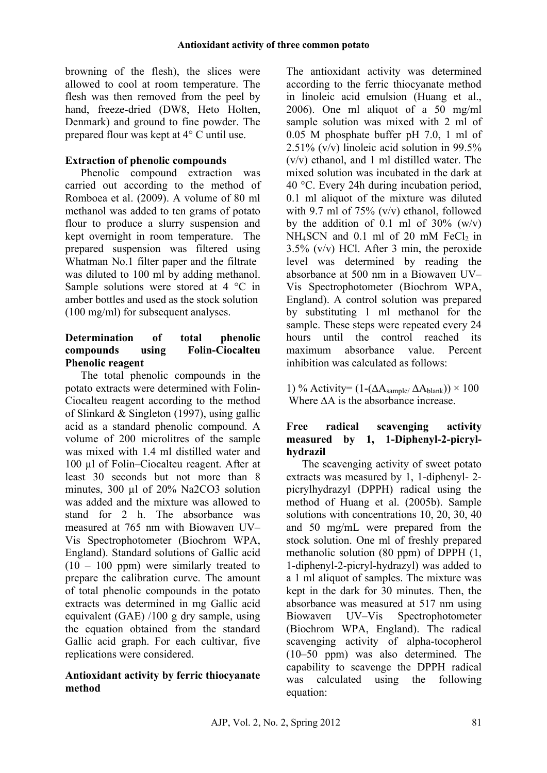browning of the flesh), the slices were allowed to cool at room temperature. The flesh was then removed from the peel by hand, freeze-dried (DW8, Heto Holten, Denmark) and ground to fine powder. The prepared flour was kept at 4° C until use.

# **Extraction of phenolic compounds**

Phenolic compound extraction was carried out according to the method of Romboea et al. (2009). A volume of 80 ml methanol was added to ten grams of potato flour to produce a slurry suspension and kept overnight in room temperature. The prepared suspension was filtered using Whatman No.1 filter paper and the filtrate was diluted to 100 ml by adding methanol. Sample solutions were stored at 4 °C in amber bottles and used as the stock solution (100 mg/ml) for subsequent analyses.

## **Determination of total phenolic compounds using Folin-Ciocalteu Phenolic reagent**

The total phenolic compounds in the potato extracts were determined with Folin-Ciocalteu reagent according to the method of Slinkard & Singleton (1997), using gallic acid as a standard phenolic compound. A volume of 200 microlitres of the sample was mixed with 1.4 ml distilled water and 100 µl of Folin–Ciocalteu reagent. After at least 30 seconds but not more than 8 minutes, 300 µl of 20% Na2CO3 solution was added and the mixture was allowed to stand for 2 h. The absorbance was measured at 765 nm with Biowaven UV– Vis Spectrophotometer (Biochrom WPA, England). Standard solutions of Gallic acid  $(10 - 100$  ppm) were similarly treated to prepare the calibration curve. The amount of total phenolic compounds in the potato extracts was determined in mg Gallic acid equivalent (GAE) /100 g dry sample, using the equation obtained from the standard Gallic acid graph. For each cultivar, five replications were considered.

### **Antioxidant activity by ferric thiocyanate method**

The antioxidant activity was determined according to the ferric thiocyanate method in linoleic acid emulsion (Huang et al., 2006). One ml aliquot of a 50 mg/ml sample solution was mixed with 2 ml of 0.05 M phosphate buffer pH 7.0, 1 ml of 2.51% (v/v) linoleic acid solution in 99.5% (v/v) ethanol, and 1 ml distilled water. The mixed solution was incubated in the dark at 40 °C. Every 24h during incubation period, 0.1 ml aliquot of the mixture was diluted with 9.7 ml of 75%  $(v/v)$  ethanol, followed by the addition of 0.1 ml of  $30\%$  (w/v)  $NH<sub>4</sub>SCN$  and 0.1 ml of 20 mM FeCl<sub>2</sub> in 3.5% (v/v) HCl. After 3 min, the peroxide level was determined by reading the absorbance at 500 nm in a Biowaveп UV– Vis Spectrophotometer (Biochrom WPA, England). A control solution was prepared by substituting 1 ml methanol for the sample. These steps were repeated every 24 hours until the control reached its maximum absorbance value. Percent inhibition was calculated as follows:

1) % Activity=  $(1-(\Delta A_{\text{sample}}/\Delta A_{\text{blank}})) \times 100$ Where ∆A is the absorbance increase.

### **Free radical scavenging activity measured by 1, 1-Diphenyl-2-picrylhydrazil**

The scavenging activity of sweet potato extracts was measured by 1, 1-diphenyl- 2 picrylhydrazyl (DPPH) radical using the method of Huang et al. (2005b). Sample solutions with concentrations 10, 20, 30, 40 and 50 mg/mL were prepared from the stock solution. One ml of freshly prepared methanolic solution (80 ppm) of DPPH (1, 1-diphenyl-2-picryl-hydrazyl) was added to a 1 ml aliquot of samples. The mixture was kept in the dark for 30 minutes. Then, the absorbance was measured at 517 nm using Biowaveп UV–Vis Spectrophotometer (Biochrom WPA, England). The radical scavenging activity of alpha-tocopherol (10–50 ppm) was also determined. The capability to scavenge the DPPH radical was calculated using the following equation: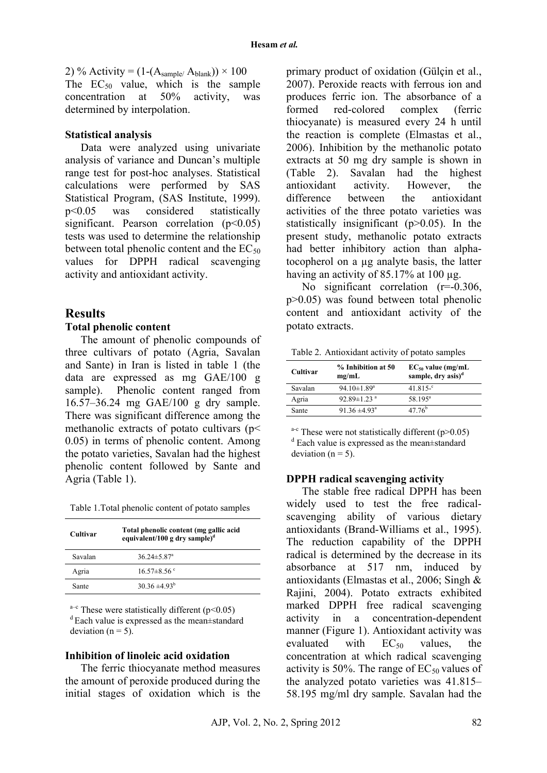2) % Activity =  $(1-(A_{\text{sample}}/A_{\text{blank}})) \times 100$ The  $EC_{50}$  value, which is the sample concentration at 50% activity, was determined by interpolation.

#### **Statistical analysis**

Data were analyzed using univariate analysis of variance and Duncan's multiple range test for post-hoc analyses. Statistical calculations were performed by SAS Statistical Program, (SAS Institute, 1999). p<0.05 was considered statistically significant. Pearson correlation  $(p<0.05)$ tests was used to determine the relationship between total phenolic content and the  $EC_{50}$ values for DPPH radical scavenging activity and antioxidant activity.

### **Results**

#### **Total phenolic content**

The amount of phenolic compounds of three cultivars of potato (Agria, Savalan and Sante) in Iran is listed in table 1 (the data are expressed as mg GAE/100 g sample). Phenolic content ranged from 16.57–36.24 mg GAE/100 g dry sample. There was significant difference among the methanolic extracts of potato cultivars ( $p$  < 0.05) in terms of phenolic content. Among the potato varieties, Savalan had the highest phenolic content followed by Sante and Agria (Table 1).

| Table 1. Total phenolic content of potato samples |  |  |  |  |
|---------------------------------------------------|--|--|--|--|
|---------------------------------------------------|--|--|--|--|

| Cultivar | Total phenolic content (mg gallic acid<br>equivalent/100 g dry sample) <sup>d</sup> |  |
|----------|-------------------------------------------------------------------------------------|--|
| Savalan  | $36.24 \pm 5.87$ <sup>a</sup>                                                       |  |
| Agria    | 16 57 $\pm$ 8 56 °                                                                  |  |
| Sante    | $30.36 \pm 4.93^{\circ}$                                                            |  |

<sup>a–c</sup> These were statistically different ( $p$  < 0.05) d Each value is expressed as the mean±standard deviation  $(n = 5)$ .

#### **Inhibition of linoleic acid oxidation**

The ferric thiocyanate method measures the amount of peroxide produced during the initial stages of oxidation which is the primary product of oxidation (Gülçin et al., 2007). Peroxide reacts with ferrous ion and produces ferric ion. The absorbance of a formed red-colored complex (ferric thiocyanate) is measured every 24 h until the reaction is complete (Elmastas et al., 2006). Inhibition by the methanolic potato extracts at 50 mg dry sample is shown in (Table 2). Savalan had the highest antioxidant activity. However, the difference between the antioxidant activities of the three potato varieties was statistically insignificant (p>0.05). In the present study, methanolic potato extracts had better inhibitory action than alphatocopherol on a µg analyte basis, the latter having an activity of 85.17% at 100 µg.

No significant correlation (r=-0.306, p>0.05) was found between total phenolic content and antioxidant activity of the potato extracts.

| Table 2. Antioxidant activity of potato samples |  |  |
|-------------------------------------------------|--|--|
|                                                 |  |  |

| Cultivar | % Inhibition at 50<br>mg/mL   | $EC_{50}$ value (mg/mL<br>sample, dry asis) <sup>d</sup> |
|----------|-------------------------------|----------------------------------------------------------|
| Savalan  | 94.10 $\pm$ 1.89 <sup>a</sup> | $41.815 -$ <sup>c</sup>                                  |
| Agria    | 92.89 $\pm$ 1.23 $^{\rm a}$   | $58.195^{\rm a}$                                         |
| Sante    | $91.36 \pm 4.93^{\circ}$      | $47.76^{b}$                                              |

<sup>a-c</sup> These were not statistically different  $(p>0.05)$ <sup>d</sup> Each value is expressed as the mean±standard deviation ( $n = 5$ ).

#### **DPPH radical scavenging activity**

The stable free radical DPPH has been widely used to test the free radicalscavenging ability of various dietary antioxidants (Brand-Williams et al., 1995). The reduction capability of the DPPH radical is determined by the decrease in its absorbance at 517 nm, induced by antioxidants (Elmastas et al., 2006; Singh & Rajini, 2004). Potato extracts exhibited marked DPPH free radical scavenging activity in a concentration-dependent manner (Figure 1). Antioxidant activity was evaluated with  $EC_{50}$  values, the concentration at which radical scavenging activity is 50%. The range of  $EC_{50}$  values of the analyzed potato varieties was 41.815– 58.195 mg/ml dry sample. Savalan had the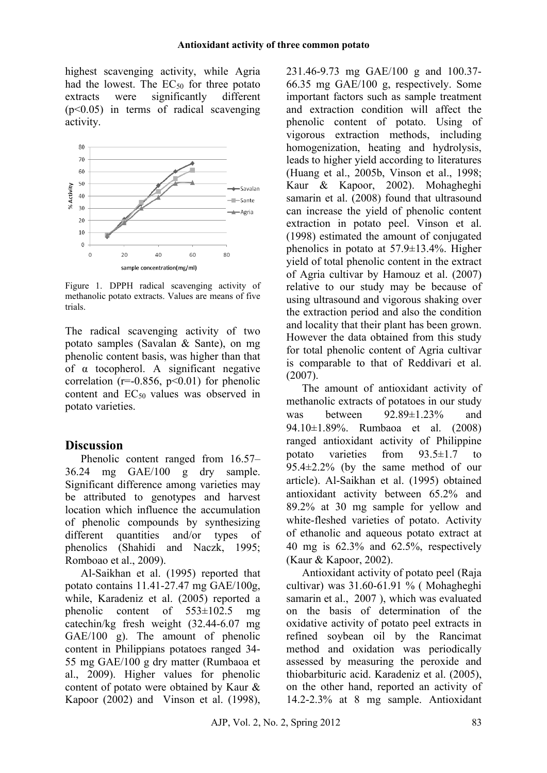highest scavenging activity, while Agria had the lowest. The  $EC_{50}$  for three potato extracts were significantly different (p<0.05) in terms of radical scavenging activity.



Figure 1. DPPH radical scavenging activity of methanolic potato extracts. Values are means of five trials.

The radical scavenging activity of two potato samples (Savalan & Sante), on mg phenolic content basis, was higher than that of α tocopherol. A significant negative correlation ( $r=0.856$ ,  $p<0.01$ ) for phenolic content and  $EC_{50}$  values was observed in potato varieties.

## **Discussion**

Phenolic content ranged from 16.57– 36.24 mg GAE/100 g dry sample. Significant difference among varieties may be attributed to genotypes and harvest location which influence the accumulation of phenolic compounds by synthesizing different quantities and/or types of phenolics (Shahidi and Naczk, 1995; Romboao et al., 2009).

Al-Saikhan et al. (1995) reported that potato contains 11.41-27.47 mg GAE/100g, while, Karadeniz et al. (2005) reported a phenolic content of 553±102.5 mg catechin/kg fresh weight (32.44-6.07 mg GAE/100 g). The amount of phenolic content in Philippians potatoes ranged 34- 55 mg GAE/100 g dry matter (Rumbaoa et al., 2009). Higher values for phenolic content of potato were obtained by Kaur & Kapoor (2002) and Vinson et al. (1998),

231.46-9.73 mg GAE/100 g and 100.37- 66.35 mg GAE/100 g, respectively. Some important factors such as sample treatment and extraction condition will affect the phenolic content of potato. Using of vigorous extraction methods, including homogenization, heating and hydrolysis, leads to higher yield according to literatures (Huang et al., 2005b, Vinson et al., 1998; Kaur & Kapoor, 2002). Mohagheghi samarin et al. (2008) found that ultrasound can increase the yield of phenolic content extraction in potato peel. Vinson et al. (1998) estimated the amount of conjugated phenolics in potato at 57.9±13.4%. Higher yield of total phenolic content in the extract of Agria cultivar by Hamouz et al. (2007) relative to our study may be because of using ultrasound and vigorous shaking over the extraction period and also the condition and locality that their plant has been grown. However the data obtained from this study for total phenolic content of Agria cultivar is comparable to that of Reddivari et al. (2007).

The amount of antioxidant activity of methanolic extracts of potatoes in our study was between 92.89±1.23% and 94.10±1.89%. Rumbaoa et al. (2008) ranged antioxidant activity of Philippine potato varieties from 93.5±1.7 to 95.4±2.2% (by the same method of our article). Al-Saikhan et al. (1995) obtained antioxidant activity between 65.2% and 89.2% at 30 mg sample for yellow and white-fleshed varieties of potato. Activity of ethanolic and aqueous potato extract at 40 mg is 62.3% and 62.5%, respectively (Kaur & Kapoor, 2002).

Antioxidant activity of potato peel (Raja cultivar) was 31.60-61.91 % ( Mohagheghi samarin et al., 2007 ), which was evaluated on the basis of determination of the oxidative activity of potato peel extracts in refined soybean oil by the Rancimat method and oxidation was periodically assessed by measuring the peroxide and thiobarbituric acid. Karadeniz et al. (2005), on the other hand, reported an activity of 14.2-2.3% at 8 mg sample. Antioxidant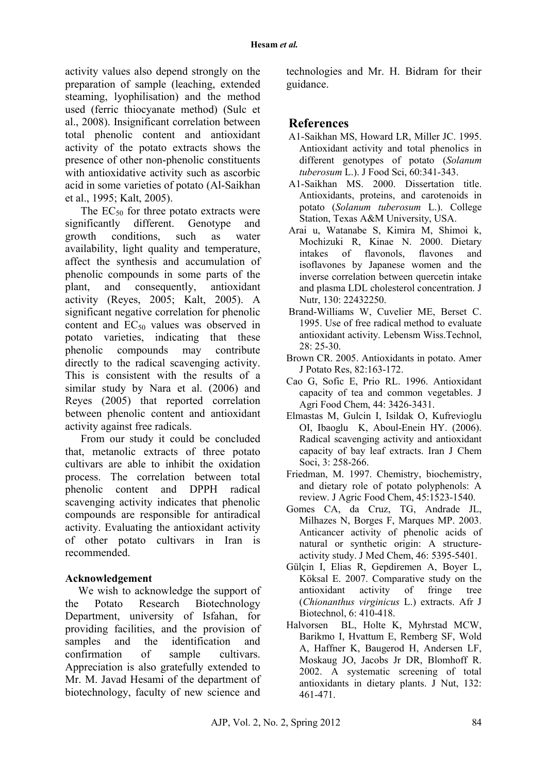activity values also depend strongly on the preparation of sample (leaching, extended steaming, lyophilisation) and the method used (ferric thiocyanate method) (Sulc et al., 2008). Insignificant correlation between total phenolic content and antioxidant activity of the potato extracts shows the presence of other non-phenolic constituents with antioxidative activity such as ascorbic acid in some varieties of potato (Al-Saikhan et al., 1995; Kalt, 2005).

The  $EC_{50}$  for three potato extracts were significantly different. Genotype and growth conditions, such as water availability, light quality and temperature, affect the synthesis and accumulation of phenolic compounds in some parts of the plant, and consequently, antioxidant activity (Reyes, 2005; Kalt, 2005). A significant negative correlation for phenolic content and  $EC_{50}$  values was observed in potato varieties, indicating that these phenolic compounds may contribute directly to the radical scavenging activity. This is consistent with the results of a similar study by Nara et al. (2006) and Reyes (2005) that reported correlation between phenolic content and antioxidant activity against free radicals.

From our study it could be concluded that, metanolic extracts of three potato cultivars are able to inhibit the oxidation process. The correlation between total phenolic content and DPPH radical scavenging activity indicates that phenolic compounds are responsible for antiradical activity. Evaluating the antioxidant activity of other potato cultivars in Iran is recommended.

#### **Acknowledgement**

We wish to acknowledge the support of the Potato Research Biotechnology Department, university of Isfahan, for providing facilities, and the provision of samples and the identification and confirmation of sample cultivars. Appreciation is also gratefully extended to Mr. M. Javad Hesami of the department of biotechnology, faculty of new science and

technologies and Mr. H. Bidram for their guidance.

## **References**

- A1-Saikhan MS, Howard LR, Miller JC. 1995. Antioxidant activity and total phenolics in different genotypes of potato (*Solanum tuberosum* L.). J Food Sci, 60:341-343.
- A1-Saikhan MS. 2000. Dissertation title. Antioxidants, proteins, and carotenoids in potato (*Solanum tuberosum* L.). College Station, Texas A&M University, USA.
- Arai u, Watanabe S, Kimira M, Shimoi k, Mochizuki R, Kinae N. 2000. Dietary intakes of flavonols, flavones and isoflavones by Japanese women and the inverse correlation between quercetin intake and plasma LDL cholesterol concentration. J Nutr, 130: 22432250.
- Brand-Williams W, Cuvelier ME, Berset C. 1995. Use of free radical method to evaluate antioxidant activity. Lebensm Wiss.Technol, 28: 25-30.
- Brown CR. 2005. Antioxidants in potato. Amer J Potato Res, 82:163-172.
- Cao G, Sofic E, Prio RL. 1996. Antioxidant capacity of tea and common vegetables. J Agri Food Chem, 44: 3426-3431.
- Elmastas M, Gulcin I, Isildak O, Kufrevioglu OI, Ibaoglu K, Aboul-Enein HY. (2006). Radical scavenging activity and antioxidant capacity of bay leaf extracts. Iran J Chem Soci, 3: 258-266.
- Friedman, M. 1997. Chemistry, biochemistry, and dietary role of potato polyphenols: A review. J Agric Food Chem, 45:1523-1540.
- Gomes CA, da Cruz, TG, Andrade JL, Milhazes N, Borges F, Marques MP. 2003. Anticancer activity of phenolic acids of natural or synthetic origin: A structureactivity study. J Med Chem, 46: 5395-5401.
- Gülçin I, Elias R, Gepdiremen A, Boyer L, Köksal E. 2007. Comparative study on the antioxidant activity of fringe tree (*Chionanthus virginicus* L.) extracts. Afr J Biotechnol, 6: 410-418.
- Halvorsen BL, Holte K, Myhrstad MCW, Barikmo I, Hvattum E, Remberg SF, Wold A, Haffner K, Baugerod H, Andersen LF, Moskaug JO, Jacobs Jr DR, Blomhoff R. 2002. A systematic screening of total antioxidants in dietary plants. J Nut, 132: 461-471.